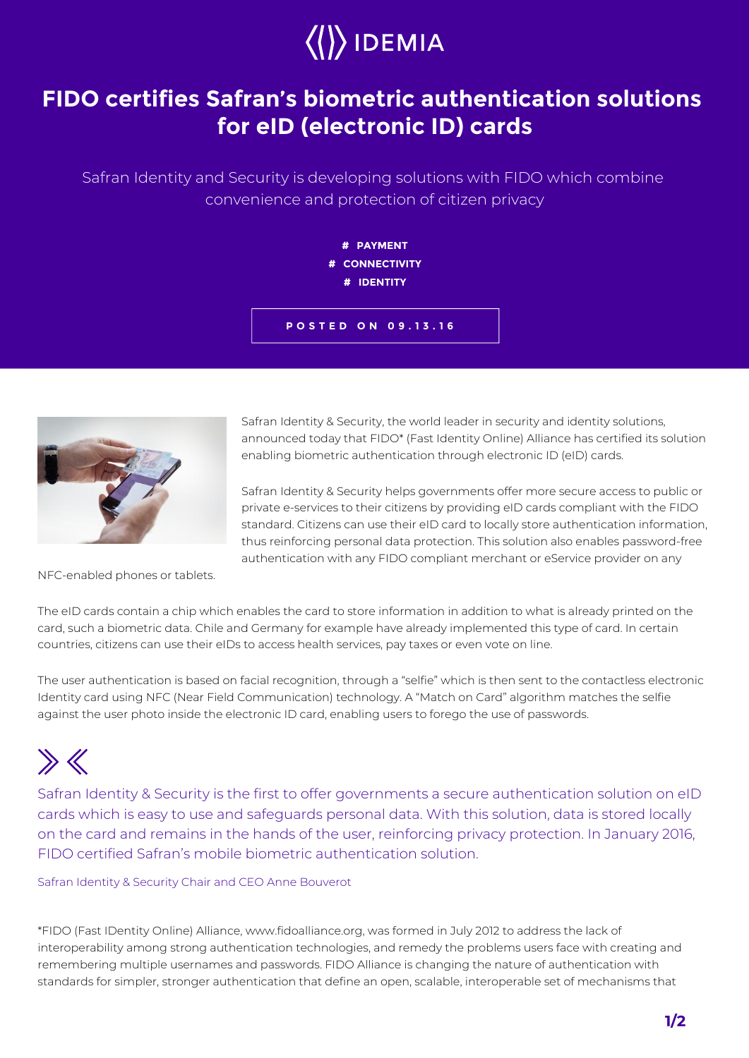

## **FIDO certifies Safran's biometric authentication solutions for eID (electronic ID) cards**

Safran Identity and Security is developing solutions with FIDO which combine convenience and protection of citizen privacy



**POSTED ON 09.13.16**



Safran Identity & Security, the world leader in security and identity solutions, announced today that FIDO\* (Fast Identity Online) Alliance has certified its solution enabling biometric authentication through electronic ID (eID) cards.

Safran Identity & Security helps governments offer more secure access to public or private e-services to their citizens by providing eID cards compliant with the FIDO standard. Citizens can use their eID card to locally store authentication information, thus reinforcing personal data protection. This solution also enables password-free authentication with any FIDO compliant merchant or eService provider on any

NFC-enabled phones or tablets.

The eID cards contain a chip which enables the card to store information in addition to what is already printed on the card, such a biometric data. Chile and Germany for example have already implemented this type of card. In certain countries, citizens can use their eIDs to access health services, pay taxes or even vote on line.

The user authentication is based on facial recognition, through a "selfie" which is then sent to the contactless electronic Identity card using NFC (Near Field Communication) technology. A "Match on Card" algorithm matches the selfie against the user photo inside the electronic ID card, enabling users to forego the use of passwords.

## $\gg K$

Safran Identity & Security is the first to offer governments a secure authentication solution on eID cards which is easy to use and safeguards personal data. With this solution, data is stored locally on the card and remains in the hands of the user, reinforcing privacy protection. In January 2016, FIDO certified Safran's mobile biometric authentication solution.

## Safran Identity & Security Chair and CEO Anne Bouverot

\*FIDO (Fast IDentity Online) Alliance, www.fidoalliance.org, was formed in July 2012 to address the lack of interoperability among strong authentication technologies, and remedy the problems users face with creating and remembering multiple usernames and passwords. FIDO Alliance is changing the nature of authentication with standards for simpler, stronger authentication that define an open, scalable, interoperable set of mechanisms that